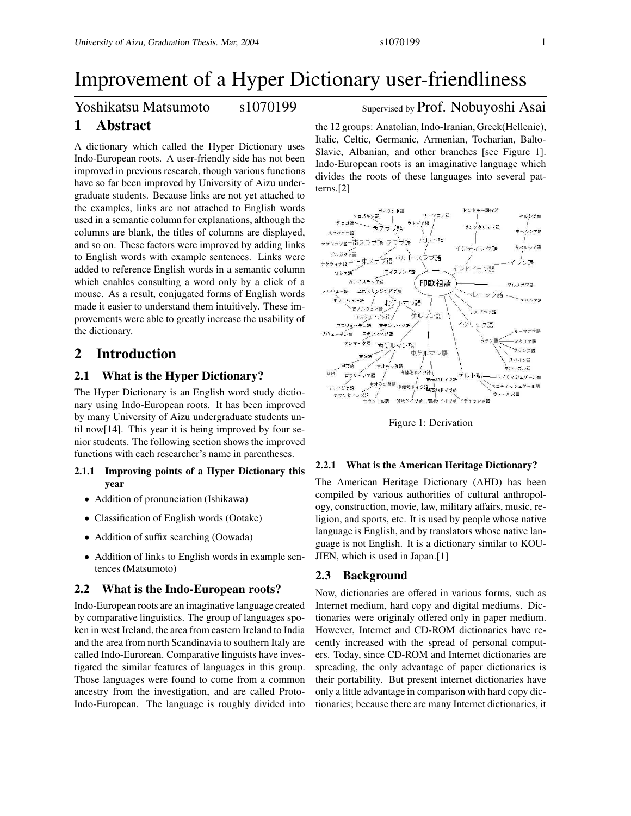# **1 Abstract**

A dictionary which called the Hyper Dictionary uses Indo-European roots. A user-friendly side has not been improved in previous research, though various functions have so far been improved by University of Aizu undergraduate students. Because links are not yet attached to the examples, links are not attached to English words used in a semantic column for explanations, although the columns are blank, the titles of columns are displayed, and so on. These factors were improved by adding links to English words with example sentences. Links were added to reference English words in a semantic column which enables consulting a word only by a click of a mouse. As a result, conjugated forms of English words made it easier to understand them intuitively. These improvements were able to greatly increase the usability of the dictionary.

# **2 Introduction**

# **2.1 What is the Hyper Dictionary?**

The Hyper Dictionary is an English word study dictionary using Indo-European roots. It has been improved by many University of Aizu undergraduate students until now[14]. This year it is being improved by four senior students. The following section shows the improved functions with each researcher's name in parentheses.

### **2.1.1 Improving points of a Hyper Dictionary this year**

- Addition of pronunciation (Ishikawa)
- Classification of English words (Ootake)
- Addition of suffix searching (Oowada)
- Addition of links to English words in example sentences (Matsumoto)

### **2.2 What is the Indo-European roots?**

Indo-European roots are an imaginative language created by comparative linguistics. The group of languages spoken in west Ireland, the area from eastern Ireland to India and the area from north Scandinavia to southern Italy are called Indo-Eurorean. Comparative linguists have investigated the similar features of languages in this group. Those languages were found to come from a common ancestry from the investigation, and are called Proto-Indo-European. The language is roughly divided into

# Yoshikatsu Matsumoto s1070199 Supervised by Prof. Nobuyoshi Asai

the 12 groups: Anatolian, Indo-Iranian, Greek(Hellenic), Italic, Celtic, Germanic, Armenian, Tocharian, Balto-Slavic, Albanian, and other branches [see Figure 1]. Indo-European roots is an imaginative language which divides the roots of these languages into several patterns.[2]



Figure 1: Derivation

#### **2.2.1 What is the American Heritage Dictionary?**

The American Heritage Dictionary (AHD) has been compiled by various authorities of cultural anthropology, construction, movie, law, military affairs, music, religion, and sports, etc. It is used by people whose native language is English, and by translators whose native language is not English. It is a dictionary similar to KOU-JIEN, which is used in Japan.[1]

### **2.3 Background**

Now, dictionaries are offered in various forms, such as Internet medium, hard copy and digital mediums. Dictionaries were originaly offered only in paper medium. However, Internet and CD-ROM dictionaries have recently increased with the spread of personal computers. Today, since CD-ROM and Internet dictionaries are spreading, the only advantage of paper dictionaries is their portability. But present internet dictionaries have only a little advantage in comparison with hard copy dictionaries; because there are many Internet dictionaries, it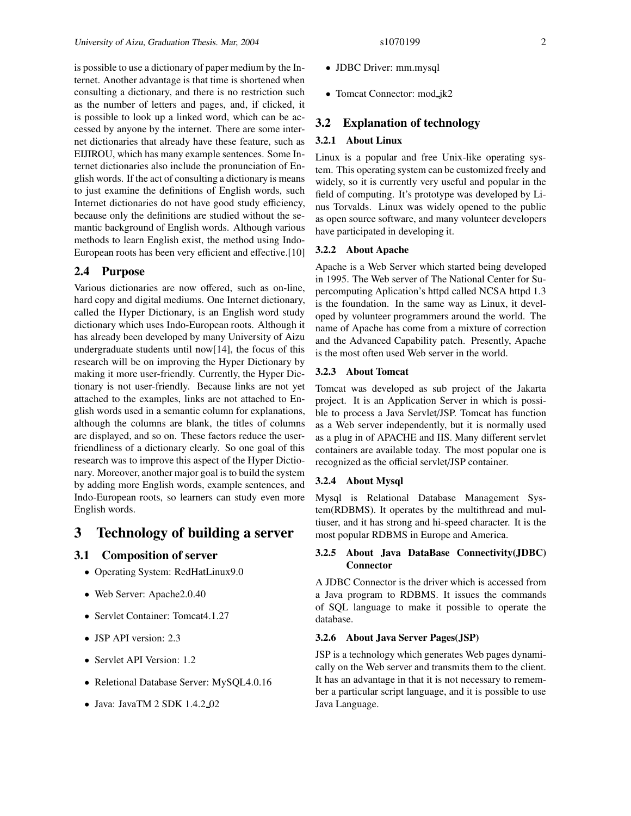is possible to use a dictionary of paper medium by the Internet. Another advantage is that time is shortened when consulting a dictionary, and there is no restriction such as the number of letters and pages, and, if clicked, it is possible to look up a linked word, which can be accessed by anyone by the internet. There are some internet dictionaries that already have these feature, such as EIJIROU, which has many example sentences. Some Internet dictionaries also include the pronunciation of English words. If the act of consulting a dictionary is means to just examine the definitions of English words, such Internet dictionaries do not have good study efficiency, because only the definitions are studied without the semantic background of English words. Although various methods to learn English exist, the method using Indo-European roots has been very efficient and effective.[10]

# **2.4 Purpose**

Various dictionaries are now offered, such as on-line, hard copy and digital mediums. One Internet dictionary, called the Hyper Dictionary, is an English word study dictionary which uses Indo-European roots. Although it has already been developed by many University of Aizu undergraduate students until now[14], the focus of this research will be on improving the Hyper Dictionary by making it more user-friendly. Currently, the Hyper Dictionary is not user-friendly. Because links are not yet attached to the examples, links are not attached to English words used in a semantic column for explanations, although the columns are blank, the titles of columns are displayed, and so on. These factors reduce the userfriendliness of a dictionary clearly. So one goal of this research was to improve this aspect of the Hyper Dictionary. Moreover, another major goal is to build the system by adding more English words, example sentences, and Indo-European roots, so learners can study even more English words.

# **3 Technology of building a server**

# **3.1 Composition of server**

- Operating System: RedHatLinux9.0
- Web Server: Apache2.0.40
- Servlet Container: Tomcat4.1.27
- JSP API version: 2.3
- Servlet API Version: 1.2
- Reletional Database Server: MySQL4.0.16
- Java: JavaTM 2 SDK 1.4.2\_02
- JDBC Driver: mm.mysql
- Tomcat Connector: mod\_jk2

### **3.2 Explanation of technology**

#### **3.2.1 About Linux**

Linux is a popular and free Unix-like operating system. This operating system can be customized freely and widely, so it is currently very useful and popular in the field of computing. It's prototype was developed by Linus Torvalds. Linux was widely opened to the public as open source software, and many volunteer developers have participated in developing it.

#### **3.2.2 About Apache**

Apache is a Web Server which started being developed in 1995. The Web server of The National Center for Supercomputing Aplication's httpd called NCSA httpd 1.3 is the foundation. In the same way as Linux, it developed by volunteer programmers around the world. The name of Apache has come from a mixture of correction and the Advanced Capability patch. Presently, Apache is the most often used Web server in the world.

### **3.2.3 About Tomcat**

Tomcat was developed as sub project of the Jakarta project. It is an Application Server in which is possible to process a Java Servlet/JSP. Tomcat has function as a Web server independently, but it is normally used as a plug in of APACHE and IIS. Many different servlet containers are available today. The most popular one is recognized as the official servlet/JSP container.

#### **3.2.4 About Mysql**

Mysql is Relational Database Management System(RDBMS). It operates by the multithread and multiuser, and it has strong and hi-speed character. It is the most popular RDBMS in Europe and America.

### **3.2.5 About Java DataBase Connectivity(JDBC) Connector**

A JDBC Connector is the driver which is accessed from a Java program to RDBMS. It issues the commands of SQL language to make it possible to operate the database.

#### **3.2.6 About Java Server Pages(JSP)**

JSP is a technology which generates Web pages dynamically on the Web server and transmits them to the client. It has an advantage in that it is not necessary to remember a particular script language, and it is possible to use Java Language.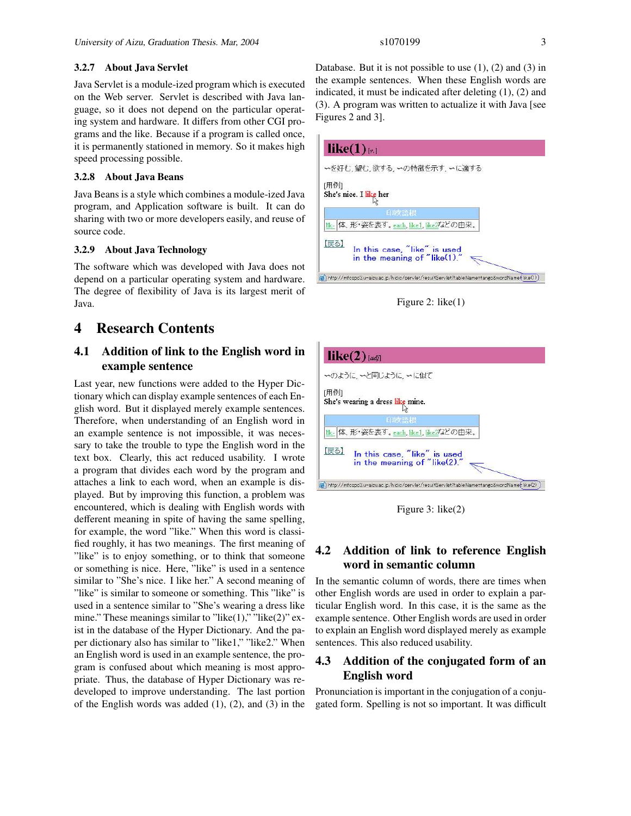#### **3.2.7 About Java Servlet**

Java Servlet is a module-ized program which is executed on the Web server. Servlet is described with Java language, so it does not depend on the particular operating system and hardware. It differs from other CGI programs and the like. Because if a program is called once, it is permanently stationed in memory. So it makes high speed processing possible.

#### **3.2.8 About Java Beans**

Java Beans is a style which combines a module-ized Java program, and Application software is built. It can do sharing with two or more developers easily, and reuse of source code.

### **3.2.9 About Java Technology**

The software which was developed with Java does not depend on a particular operating system and hardware. The degree of flexibility of Java is its largest merit of Java.

# **4 Research Contents**

# **4.1 Addition of link to the English word in example sentence**

Last year, new functions were added to the Hyper Dictionary which can display example sentences of each English word. But it displayed merely example sentences. Therefore, when understanding of an English word in an example sentence is not impossible, it was necessary to take the trouble to type the English word in the text box. Clearly, this act reduced usability. I wrote a program that divides each word by the program and attaches a link to each word, when an example is displayed. But by improving this function, a problem was encountered, which is dealing with English words with defferent meaning in spite of having the same spelling, for example, the word "like." When this word is classified roughly, it has two meanings. The first meaning of "like" is to enjoy something, or to think that someone or something is nice. Here, "like" is used in a sentence similar to "She's nice. I like her." A second meaning of "like" is similar to someone or something. This "like" is used in a sentence similar to "She's wearing a dress like mine." These meanings similar to "like $(1)$ ," "like $(2)$ " exist in the database of the Hyper Dictionary. And the paper dictionary also has similar to "like1," "like2." When an English word is used in an example sentence, the program is confused about which meaning is most appropriate. Thus, the database of Hyper Dictionary was redeveloped to improve understanding. The last portion of the English words was added  $(1)$ ,  $(2)$ , and  $(3)$  in the

Database. But it is not possible to use  $(1)$ ,  $(2)$  and  $(3)$  in the example sentences. When these English words are indicated, it must be indicated after deleting (1), (2) and (3). A program was written to actualize it with Java [see Figures 2 and 3].







Figure 3: like(2)

# **4.2 Addition of link to reference English word in semantic column**

In the semantic column of words, there are times when other English words are used in order to explain a particular English word. In this case, it is the same as the example sentence. Other English words are used in order to explain an English word displayed merely as example sentences. This also reduced usability.

# **4.3 Addition of the conjugated form of an English word**

Pronunciation is important in the conjugation of a conjugated form. Spelling is not so important. It was difficult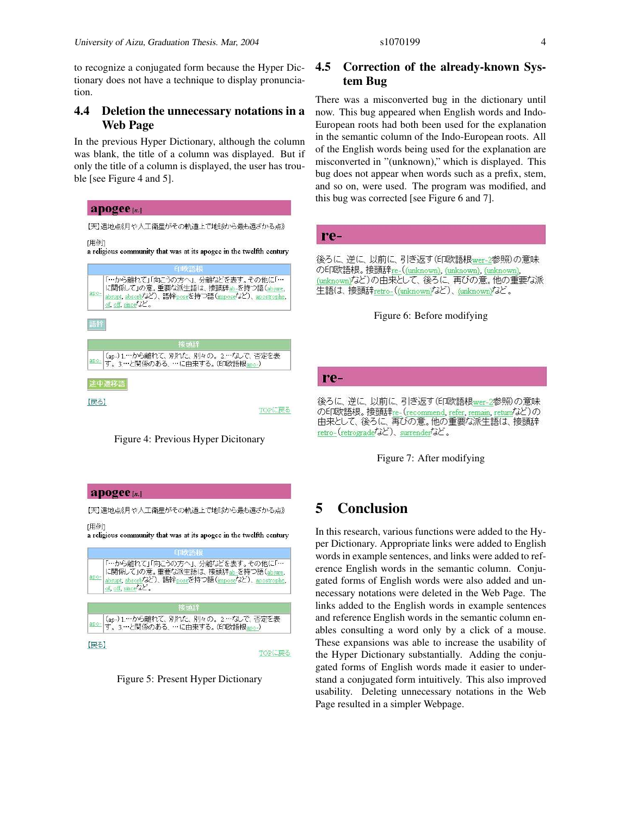to recognize a conjugated form because the Hyper Dictionary does not have a technique to display pronunciation.

# **4.4 Deletion the unnecessary notations in a Web Page**

In the previous Hyper Dictionary, although the column was blank, the title of a column was displayed. But if only the title of a column is displayed, the user has trouble [see Figure 4 and 5].





#### apogee<sub>[n.]</sub>

[用例]

【天】遠地点《月や人工衛星がその軌道上で地球から最も遠ざかる点》

a religious community that was at its apogee in the twelfth century

| apo- | 「…から離れて」「向こうの方へ」、分離などを表す。その他に「…<br>に関係して」の意。重要な派生語は、接頭辞ab-を持つ語(abjure.<br>abrupt, absorbなど)、語幹poseを持つ語 (imposeなど)、apostrophe,<br>of, off, since $\overrightarrow{d}$ . |
|------|------------------------------------------------------------------------------------------------------------------------------------------------------------------------|
|      | 接頭辞                                                                                                                                                                    |
|      | (ap-) 1.…から離れて、別れた、別々の。2.…なしで、否定を表<br>す。3.…と関係のある、…に由来する。(印欧語根apo-)                                                                                                    |



# **4.5 Correction of the already-known System Bug**

There was a misconverted bug in the dictionary until now. This bug appeared when English words and Indo-European roots had both been used for the explanation in the semantic column of the Indo-European roots. All of the English words being used for the explanation are misconverted in "(unknown)," which is displayed. This bug does not appear when words such as a prefix, stem, and so on, were used. The program was modified, and this bug was corrected [see Figure 6 and 7].



### Figure 6: Before modifying

#### re-

後ろに、逆に、以前に、引き返す(ED欧語根wer-2参照)の意味 の印欧語根。 接頭辞re-(recommend, refer, remain, returnなど)の 由来として、後ろに、再びの意。他の重要な派生語は、接頭辞 retro-(retrograde<sup>7</sup>d ), surrender<sup>7</sup>d c.

Figure 7: After modifying

# **5 Conclusion**

In this research, various functions were added to the Hyper Dictionary. Appropriate links were added to English words in example sentences, and links were added to reference English words in the semantic column. Conjugated forms of English words were also added and unnecessary notations were deleted in the Web Page. The links added to the English words in example sentences and reference English words in the semantic column enables consulting a word only by a click of a mouse. These expansions was able to increase the usability of the Hyper Dictionary substantially. Adding the conjugated forms of English words made it easier to understand a conjugated form intuitively. This also improved usability. Deleting unnecessary notations in the Web Page resulted in a simpler Webpage.